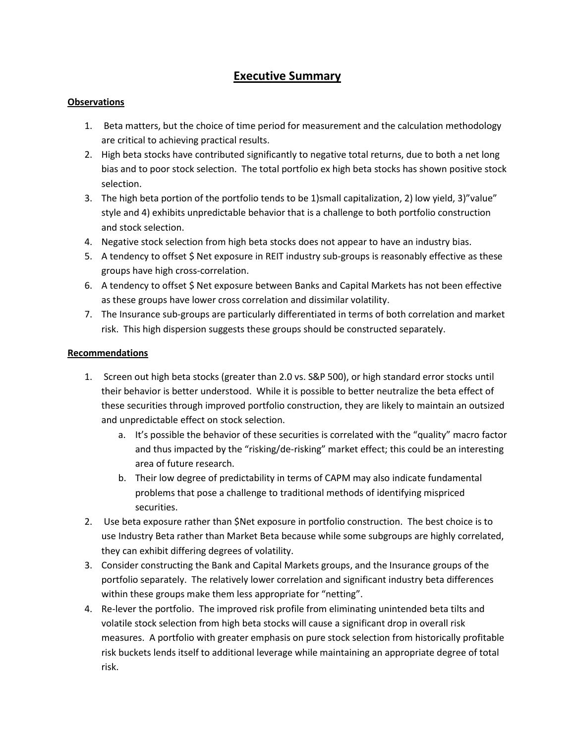# **Executive Summary**

## **Observations**

- 1. Beta matters, but the choice of time period for measurement and the calculation methodology are critical to achieving practical results.
- 2. High beta stocks have contributed significantly to negative total returns, due to both a net long bias and to poor stock selection. The total portfolio ex high beta stocks has shown positive stock selection.
- 3. The high beta portion of the portfolio tends to be 1)small capitalization, 2) low yield, 3)"value" style and 4) exhibits unpredictable behavior that is a challenge to both portfolio construction and stock selection.
- 4. Negative stock selection from high beta stocks does not appear to have an industry bias.
- 5. A tendency to offset \$ Net exposure in REIT industry sub-groups is reasonably effective as these groups have high cross-correlation.
- 6. A tendency to offset \$ Net exposure between Banks and Capital Markets has not been effective as these groups have lower cross correlation and dissimilar volatility.
- 7. The Insurance sub-groups are particularly differentiated in terms of both correlation and market risk. This high dispersion suggests these groups should be constructed separately.

#### **Recommendations**

- 1. Screen out high beta stocks (greater than 2.0 vs. S&P 500), or high standard error stocks until their behavior is better understood. While it is possible to better neutralize the beta effect of these securities through improved portfolio construction, they are likely to maintain an outsized and unpredictable effect on stock selection.
	- a. It's possible the behavior of these securities is correlated with the "quality" macro factor and thus impacted by the "risking/de-risking" market effect; this could be an interesting area of future research.
	- b. Their low degree of predictability in terms of CAPM may also indicate fundamental problems that pose a challenge to traditional methods of identifying mispriced securities.
- 2. Use beta exposure rather than \$Net exposure in portfolio construction. The best choice is to use Industry Beta rather than Market Beta because while some subgroups are highly correlated, they can exhibit differing degrees of volatility.
- 3. Consider constructing the Bank and Capital Markets groups, and the Insurance groups of the portfolio separately. The relatively lower correlation and significant industry beta differences within these groups make them less appropriate for "netting".
- 4. Re-lever the portfolio. The improved risk profile from eliminating unintended beta tilts and volatile stock selection from high beta stocks will cause a significant drop in overall risk measures. A portfolio with greater emphasis on pure stock selection from historically profitable risk buckets lends itself to additional leverage while maintaining an appropriate degree of total risk.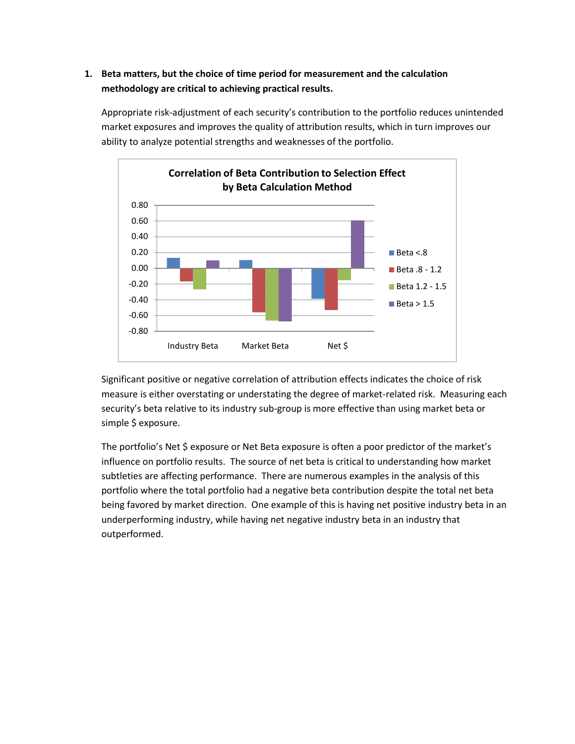# **1. Beta matters, but the choice of time period for measurement and the calculation methodology are critical to achieving practical results.**

Appropriate risk-adjustment of each security's contribution to the portfolio reduces unintended market exposures and improves the quality of attribution results, which in turn improves our ability to analyze potential strengths and weaknesses of the portfolio.



Significant positive or negative correlation of attribution effects indicates the choice of risk measure is either overstating or understating the degree of market-related risk. Measuring each security's beta relative to its industry sub-group is more effective than using market beta or simple \$ exposure.

The portfolio's Net \$ exposure or Net Beta exposure is often a poor predictor of the market's influence on portfolio results. The source of net beta is critical to understanding how market subtleties are affecting performance. There are numerous examples in the analysis of this portfolio where the total portfolio had a negative beta contribution despite the total net beta being favored by market direction. One example of this is having net positive industry beta in an underperforming industry, while having net negative industry beta in an industry that outperformed.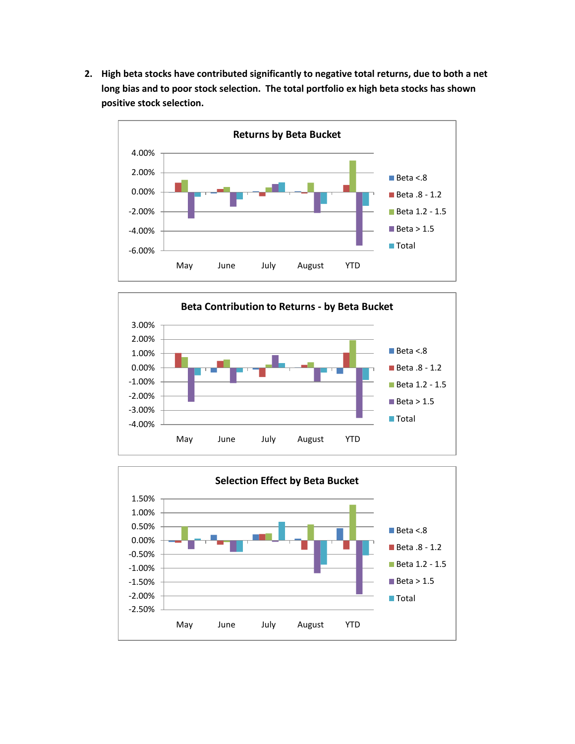**2. High beta stocks have contributed significantly to negative total returns, due to both a net long bias and to poor stock selection. The total portfolio ex high beta stocks has shown positive stock selection.**





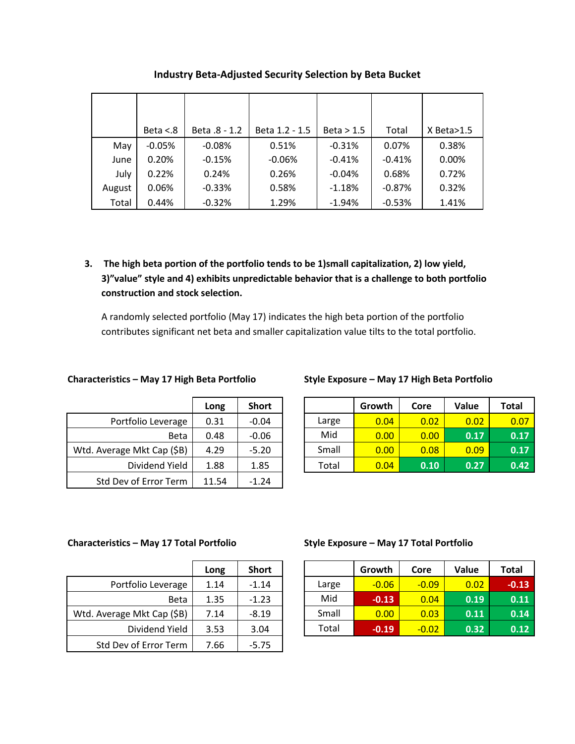|        | Beta $< 8$ | Beta .8 - 1.2 | Beta 1.2 - 1.5 | Beta > 1.5 | Total    | $X$ Beta $>1.5$ |
|--------|------------|---------------|----------------|------------|----------|-----------------|
| May    | $-0.05%$   | $-0.08%$      | 0.51%          | $-0.31%$   | 0.07%    | 0.38%           |
| June   | 0.20%      | $-0.15%$      | $-0.06%$       | $-0.41%$   | $-0.41%$ | 0.00%           |
| July   | 0.22%      | 0.24%         | 0.26%          | $-0.04%$   | 0.68%    | 0.72%           |
| August | 0.06%      | $-0.33%$      | 0.58%          | $-1.18%$   | $-0.87%$ | 0.32%           |
| Total  | 0.44%      | $-0.32%$      | 1.29%          | $-1.94%$   | $-0.53%$ | 1.41%           |

## **Industry Beta-Adjusted Security Selection by Beta Bucket**

**3. The high beta portion of the portfolio tends to be 1)small capitalization, 2) low yield, 3)"value" style and 4) exhibits unpredictable behavior that is a challenge to both portfolio construction and stock selection.**

A randomly selected portfolio (May 17) indicates the high beta portion of the portfolio contributes significant net beta and smaller capitalization value tilts to the total portfolio.

|                            | Long  | <b>Short</b> |
|----------------------------|-------|--------------|
| Portfolio Leverage         | 0.31  | $-0.04$      |
| Beta                       | 0.48  | $-0.06$      |
| Wtd. Average Mkt Cap (\$B) | 4.29  | $-5.20$      |
| Dividend Yield             | 1.88  | 1.85         |
| Std Dev of Error Term      | 11.54 | $-1.24$      |

## **Characteristics – May 17 High Beta Portfolio Style Exposure – May 17 High Beta Portfolio**

|                            | Long | <b>Short</b> |       | Growth | Core | Value             | <b>Total</b> |
|----------------------------|------|--------------|-------|--------|------|-------------------|--------------|
| Portfolio Leverage         | 0.31 | $-0.04$      | Large | 0.04   | 0.02 | 0.02 <sub>1</sub> | 0.07         |
| <b>Beta</b>                | 0.48 | $-0.06$      | Mid   | 0.00   | 0.00 | 0.17              | 0.17         |
| Wtd. Average Mkt Cap (\$B) | 4.29 | $-5.20$      | Small | 0.00   | 0.08 | 0.09              | 0.17         |
| Dividend Yield             | 1.88 | 1.85         | Total | 0.04   | 0.10 | 0.27              | 0.42         |

|                            | Long | <b>Short</b> |
|----------------------------|------|--------------|
| Portfolio Leverage         | 1.14 | $-1.14$      |
| Beta                       | 1.35 | $-1.23$      |
| Wtd. Average Mkt Cap (\$B) | 7.14 | $-8.19$      |
| Dividend Yield             | 3.53 | 3.04         |
| Std Dev of Error Term      | 7.66 | $-5.75$      |

## **Characteristics – May 17 Total Portfolio Style Exposure – May 17 Total Portfolio**

|                            | Long | <b>Short</b> |       | Growth  | Core    | Value | <b>Total</b> |
|----------------------------|------|--------------|-------|---------|---------|-------|--------------|
| Portfolio Leverage         | 1.14 | $-1.14$      | Large | $-0.06$ | $-0.09$ | 0.02  | $-0.13$      |
| <b>Beta</b>                | 1.35 | $-1.23$      | Mid   | $-0.13$ | 0.04    | 0.19  | 0.11         |
| Wtd. Average Mkt Cap (\$B) | 7.14 | $-8.19$      | Small | 0.00    | 0.03    | 0.11  | 0.14         |
| Dividend Yield             | 3.53 | 3.04         | Total | $-0.19$ | $-0.02$ | 0.32  | 0.12         |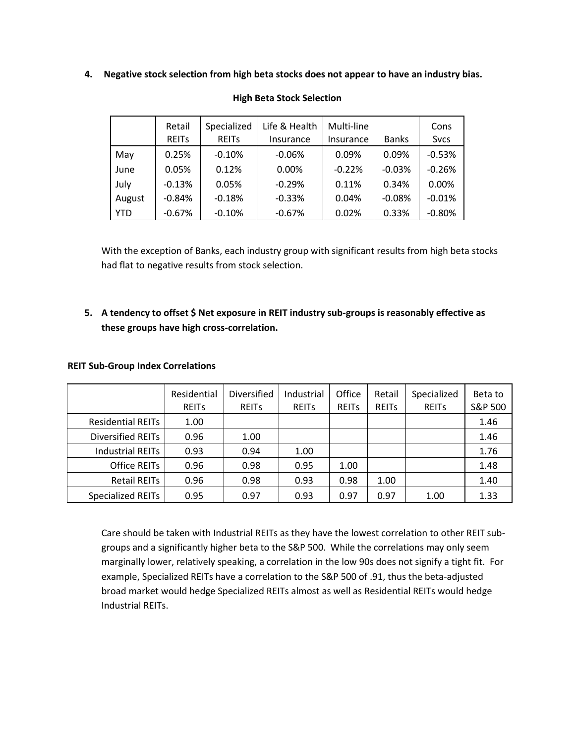**4. Negative stock selection from high beta stocks does not appear to have an industry bias.**

|        | Retail<br><b>REITS</b> | Specialized<br><b>REITS</b> | Life & Health<br>Insurance | Multi-line<br>Insurance | <b>Banks</b> | Cons<br><b>Svcs</b> |
|--------|------------------------|-----------------------------|----------------------------|-------------------------|--------------|---------------------|
| May    | 0.25%                  | $-0.10%$                    | $-0.06%$                   | 0.09%                   | 0.09%        | $-0.53%$            |
| June   | 0.05%                  | 0.12%                       | 0.00%                      | $-0.22%$                | $-0.03%$     | $-0.26%$            |
| July   | $-0.13%$               | 0.05%                       | $-0.29%$                   | 0.11%                   | 0.34%        | 0.00%               |
| August | $-0.84%$               | $-0.18%$                    | $-0.33%$                   | 0.04%                   | $-0.08%$     | $-0.01%$            |
| YTD    | $-0.67%$               | $-0.10%$                    | $-0.67%$                   | 0.02%                   | 0.33%        | $-0.80%$            |

#### **High Beta Stock Selection**

With the exception of Banks, each industry group with significant results from high beta stocks had flat to negative results from stock selection.

# **5. A tendency to offset \$ Net exposure in REIT industry sub-groups is reasonably effective as these groups have high cross-correlation.**

|                          | Residential<br><b>REITS</b> | Diversified<br><b>REITS</b> | Industrial<br><b>REITS</b> | Office<br><b>REITS</b> | Retail<br><b>REITS</b> | Specialized<br><b>REITS</b> | Beta to<br>S&P 500 |
|--------------------------|-----------------------------|-----------------------------|----------------------------|------------------------|------------------------|-----------------------------|--------------------|
| <b>Residential REITs</b> | 1.00                        |                             |                            |                        |                        |                             | 1.46               |
| Diversified REITs        | 0.96                        | 1.00                        |                            |                        |                        |                             | 1.46               |
| <b>Industrial REITs</b>  | 0.93                        | 0.94                        | 1.00                       |                        |                        |                             | 1.76               |
| <b>Office REITs</b>      | 0.96                        | 0.98                        | 0.95                       | 1.00                   |                        |                             | 1.48               |
| <b>Retail REITs</b>      | 0.96                        | 0.98                        | 0.93                       | 0.98                   | 1.00                   |                             | 1.40               |
| Specialized REITs        | 0.95                        | 0.97                        | 0.93                       | 0.97                   | 0.97                   | 1.00                        | 1.33               |

#### **REIT Sub-Group Index Correlations**

Care should be taken with Industrial REITs as they have the lowest correlation to other REIT subgroups and a significantly higher beta to the S&P 500. While the correlations may only seem marginally lower, relatively speaking, a correlation in the low 90s does not signify a tight fit. For example, Specialized REITs have a correlation to the S&P 500 of .91, thus the beta-adjusted broad market would hedge Specialized REITs almost as well as Residential REITs would hedge Industrial REITs.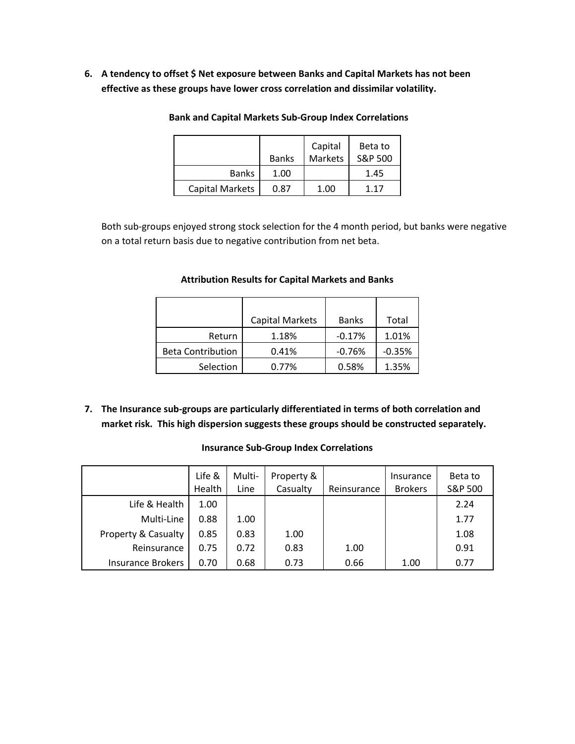**6. A tendency to offset \$ Net exposure between Banks and Capital Markets has not been effective as these groups have lower cross correlation and dissimilar volatility.**

|                        |              | Capital | Beta to |
|------------------------|--------------|---------|---------|
|                        | <b>Banks</b> | Markets | S&P 500 |
| <b>Banks</b>           | 1.00         |         | 1.45    |
| <b>Capital Markets</b> | 0.87         | 1.00    | 117     |

**Bank and Capital Markets Sub-Group Index Correlations**

Both sub-groups enjoyed strong stock selection for the 4 month period, but banks were negative on a total return basis due to negative contribution from net beta.

|                          | <b>Capital Markets</b> | <b>Banks</b> | Total    |
|--------------------------|------------------------|--------------|----------|
| Return                   | 1.18%                  | $-0.17%$     | 1.01%    |
| <b>Beta Contribution</b> | 0.41%                  | $-0.76%$     | $-0.35%$ |
| Selection                | 0.77%                  | 0.58%        | 1.35%    |

## **Attribution Results for Capital Markets and Banks**

**7. The Insurance sub-groups are particularly differentiated in terms of both correlation and market risk. This high dispersion suggests these groups should be constructed separately.**

|                                | Life &<br>Health | Multi-<br>Line | Property &<br>Casualty | Reinsurance | Insurance<br><b>Brokers</b> | Beta to<br>S&P 500 |
|--------------------------------|------------------|----------------|------------------------|-------------|-----------------------------|--------------------|
| Life & Health                  | 1.00             |                |                        |             |                             | 2.24               |
| Multi-Line                     | 0.88             | 1.00           |                        |             |                             | 1.77               |
| <b>Property &amp; Casualty</b> | 0.85             | 0.83           | 1.00                   |             |                             | 1.08               |
| Reinsurance                    | 0.75             | 0.72           | 0.83                   | 1.00        |                             | 0.91               |
| <b>Insurance Brokers</b>       | 0.70             | 0.68           | 0.73                   | 0.66        | 1.00                        | 0.77               |

#### **Insurance Sub-Group Index Correlations**